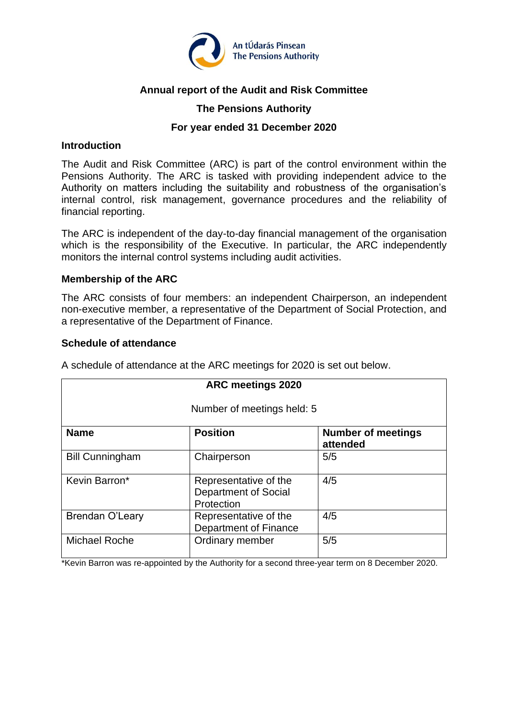

# **Annual report of the Audit and Risk Committee**

## **The Pensions Authority**

## **For year ended 31 December 2020**

## **Introduction**

The Audit and Risk Committee (ARC) is part of the control environment within the Pensions Authority. The ARC is tasked with providing independent advice to the Authority on matters including the suitability and robustness of the organisation's internal control, risk management, governance procedures and the reliability of financial reporting.

The ARC is independent of the day-to-day financial management of the organisation which is the responsibility of the Executive. In particular, the ARC independently monitors the internal control systems including audit activities.

## **Membership of the ARC**

The ARC consists of four members: an independent Chairperson, an independent non-executive member, a representative of the Department of Social Protection, and a representative of the Department of Finance.

## **Schedule of attendance**

A schedule of attendance at the ARC meetings for 2020 is set out below.

| ARC meetings 2020          |                                                                    |                                       |  |  |
|----------------------------|--------------------------------------------------------------------|---------------------------------------|--|--|
| Number of meetings held: 5 |                                                                    |                                       |  |  |
| <b>Name</b>                | <b>Position</b>                                                    | <b>Number of meetings</b><br>attended |  |  |
| <b>Bill Cunningham</b>     | Chairperson                                                        | 5/5                                   |  |  |
| Kevin Barron*              | Representative of the<br><b>Department of Social</b><br>Protection | 4/5                                   |  |  |
| <b>Brendan O'Leary</b>     | Representative of the<br><b>Department of Finance</b>              | 4/5                                   |  |  |
| <b>Michael Roche</b>       | Ordinary member                                                    | 5/5                                   |  |  |

\*Kevin Barron was re-appointed by the Authority for a second three-year term on 8 December 2020.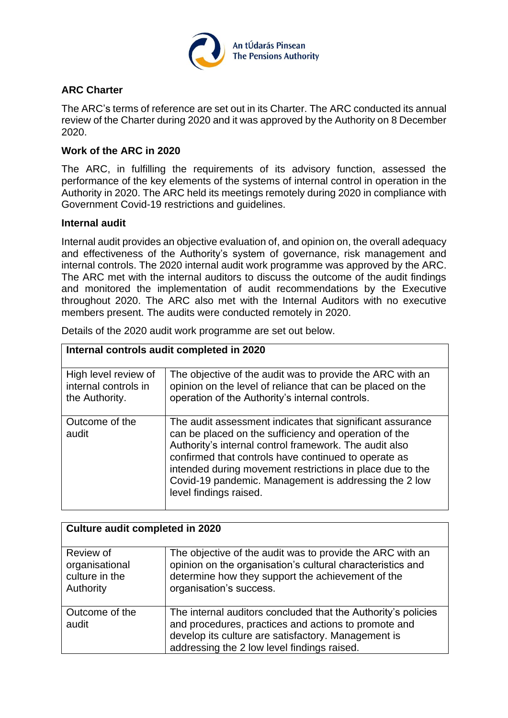

## **ARC Charter**

The ARC's terms of reference are set out in its Charter. The ARC conducted its annual review of the Charter during 2020 and it was approved by the Authority on 8 December 2020.

## **Work of the ARC in 2020**

The ARC, in fulfilling the requirements of its advisory function, assessed the performance of the key elements of the systems of internal control in operation in the Authority in 2020. The ARC held its meetings remotely during 2020 in compliance with Government Covid-19 restrictions and guidelines.

#### **Internal audit**

Internal audit provides an objective evaluation of, and opinion on, the overall adequacy and effectiveness of the Authority's system of governance, risk management and internal controls. The 2020 internal audit work programme was approved by the ARC. The ARC met with the internal auditors to discuss the outcome of the audit findings and monitored the implementation of audit recommendations by the Executive throughout 2020. The ARC also met with the Internal Auditors with no executive members present. The audits were conducted remotely in 2020.

| Internal controls audit completed in 2020                      |                                                                                                                                                                                                                                                                                                                                                                                      |  |  |
|----------------------------------------------------------------|--------------------------------------------------------------------------------------------------------------------------------------------------------------------------------------------------------------------------------------------------------------------------------------------------------------------------------------------------------------------------------------|--|--|
| High level review of<br>internal controls in<br>the Authority. | The objective of the audit was to provide the ARC with an<br>opinion on the level of reliance that can be placed on the<br>operation of the Authority's internal controls.                                                                                                                                                                                                           |  |  |
| Outcome of the<br>audit                                        | The audit assessment indicates that significant assurance<br>can be placed on the sufficiency and operation of the<br>Authority's internal control framework. The audit also<br>confirmed that controls have continued to operate as<br>intended during movement restrictions in place due to the<br>Covid-19 pandemic. Management is addressing the 2 low<br>level findings raised. |  |  |

Details of the 2020 audit work programme are set out below.

| <b>Culture audit completed in 2020</b>                     |                                                                                                                                                                                                                             |  |
|------------------------------------------------------------|-----------------------------------------------------------------------------------------------------------------------------------------------------------------------------------------------------------------------------|--|
| Review of<br>organisational<br>culture in the<br>Authority | The objective of the audit was to provide the ARC with an<br>opinion on the organisation's cultural characteristics and<br>determine how they support the achievement of the<br>organisation's success.                     |  |
| Outcome of the<br>audit                                    | The internal auditors concluded that the Authority's policies<br>and procedures, practices and actions to promote and<br>develop its culture are satisfactory. Management is<br>addressing the 2 low level findings raised. |  |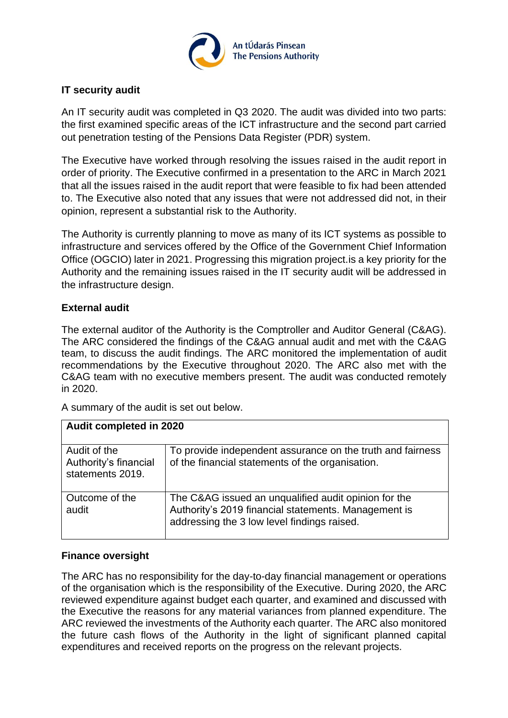

# **IT security audit**

An IT security audit was completed in Q3 2020. The audit was divided into two parts: the first examined specific areas of the ICT infrastructure and the second part carried out penetration testing of the Pensions Data Register (PDR) system.

The Executive have worked through resolving the issues raised in the audit report in order of priority. The Executive confirmed in a presentation to the ARC in March 2021 that all the issues raised in the audit report that were feasible to fix had been attended to. The Executive also noted that any issues that were not addressed did not, in their opinion, represent a substantial risk to the Authority.

The Authority is currently planning to move as many of its ICT systems as possible to infrastructure and services offered by the Office of the Government Chief Information Office (OGCIO) later in 2021. Progressing this migration project.is a key priority for the Authority and the remaining issues raised in the IT security audit will be addressed in the infrastructure design.

## **External audit**

The external auditor of the Authority is the Comptroller and Auditor General (C&AG). The ARC considered the findings of the C&AG annual audit and met with the C&AG team, to discuss the audit findings. The ARC monitored the implementation of audit recommendations by the Executive throughout 2020. The ARC also met with the C&AG team with no executive members present. The audit was conducted remotely in 2020.

A summary of the audit is set out below.

| Audit completed in 2020                                   |                                                                                                                                                             |  |
|-----------------------------------------------------------|-------------------------------------------------------------------------------------------------------------------------------------------------------------|--|
| Audit of the<br>Authority's financial<br>statements 2019. | To provide independent assurance on the truth and fairness<br>of the financial statements of the organisation.                                              |  |
| Outcome of the<br>audit                                   | The C&AG issued an unqualified audit opinion for the<br>Authority's 2019 financial statements. Management is<br>addressing the 3 low level findings raised. |  |

# **Finance oversight**

The ARC has no responsibility for the day-to-day financial management or operations of the organisation which is the responsibility of the Executive. During 2020, the ARC reviewed expenditure against budget each quarter, and examined and discussed with the Executive the reasons for any material variances from planned expenditure. The ARC reviewed the investments of the Authority each quarter. The ARC also monitored the future cash flows of the Authority in the light of significant planned capital expenditures and received reports on the progress on the relevant projects.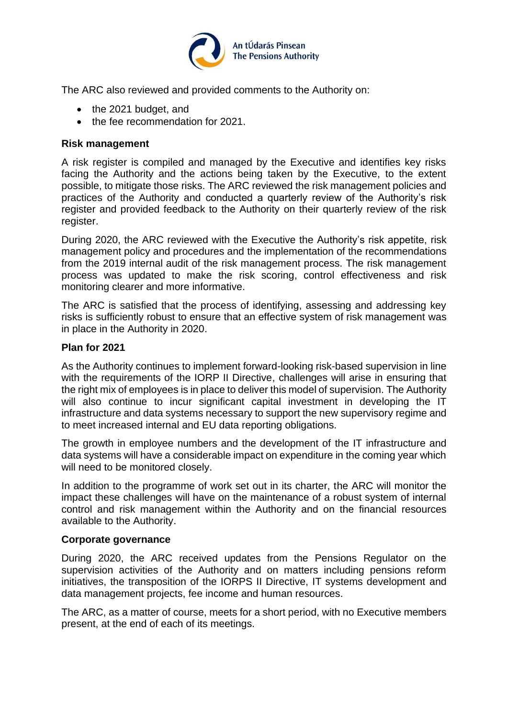

The ARC also reviewed and provided comments to the Authority on:

- the 2021 budget, and
- the fee recommendation for 2021.

## **Risk management**

A risk register is compiled and managed by the Executive and identifies key risks facing the Authority and the actions being taken by the Executive, to the extent possible, to mitigate those risks. The ARC reviewed the risk management policies and practices of the Authority and conducted a quarterly review of the Authority's risk register and provided feedback to the Authority on their quarterly review of the risk register.

During 2020, the ARC reviewed with the Executive the Authority's risk appetite, risk management policy and procedures and the implementation of the recommendations from the 2019 internal audit of the risk management process. The risk management process was updated to make the risk scoring, control effectiveness and risk monitoring clearer and more informative.

The ARC is satisfied that the process of identifying, assessing and addressing key risks is sufficiently robust to ensure that an effective system of risk management was in place in the Authority in 2020.

## **Plan for 2021**

As the Authority continues to implement forward-looking risk-based supervision in line with the requirements of the IORP II Directive, challenges will arise in ensuring that the right mix of employees is in place to deliver this model of supervision. The Authority will also continue to incur significant capital investment in developing the IT infrastructure and data systems necessary to support the new supervisory regime and to meet increased internal and EU data reporting obligations.

The growth in employee numbers and the development of the IT infrastructure and data systems will have a considerable impact on expenditure in the coming year which will need to be monitored closely.

In addition to the programme of work set out in its charter, the ARC will monitor the impact these challenges will have on the maintenance of a robust system of internal control and risk management within the Authority and on the financial resources available to the Authority.

#### **Corporate governance**

During 2020, the ARC received updates from the Pensions Regulator on the supervision activities of the Authority and on matters including pensions reform initiatives, the transposition of the IORPS II Directive, IT systems development and data management projects, fee income and human resources.

The ARC, as a matter of course, meets for a short period, with no Executive members present, at the end of each of its meetings.